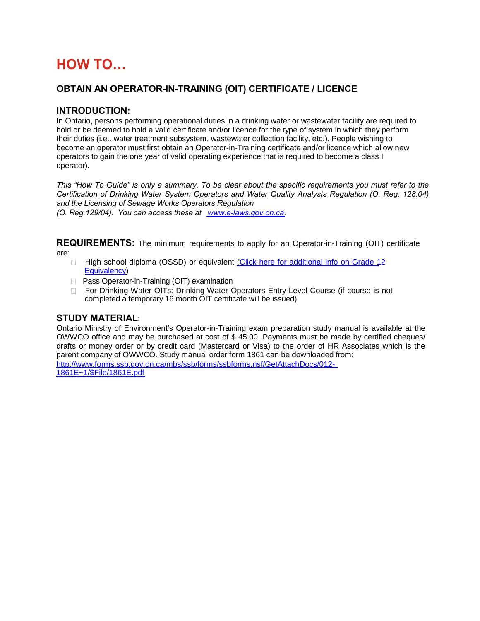# **HOW TO…**

# **OBTAIN AN OPERATOR-IN-TRAINING (OIT) CERTIFICATE / LICENCE**

#### **INTRODUCTION:**

In Ontario, persons performing operational duties in a drinking water or wastewater facility are required to hold or be deemed to hold a valid certificate and/or licence for the type of system in which they perform their duties (i.e.. water treatment subsystem, wastewater collection facility, etc.). People wishing to become an operator must first obtain an Operator-in-Training certificate and/or licence which allow new operators to gain the one year of valid operating experience that is required to become a class I operator).

*This "How To Guide" is only a summary. To be clear about the specific requirements you must refer to the Certification of Drinking Water System Operators and Water Quality Analysts Regulation (O. Reg. 128.04) and the Licensing of Sewage Works Operators Regulation* 

*(O. Reg.129/04). You can access these at [www.e-laws.gov.on.ca](http://www.e-laws.gov.on.ca/)*.

**REQUIREMENTS:** The minimum requirements to apply for an Operator-in-Training (OIT) certificate are:

- □ High school diploma (OSSD) or equivalent [\(Click here for additional info on Grade 12](http://www.ontario.ca/environment-and-energy/guideline-grade-12-equivalency) [Equivalency\)](http://www.ontario.ca/environment-and-energy/guideline-grade-12-equivalency)
- □ Pass Operator-in-Training (OIT) examination
- □ For Drinking Water OITs: Drinking Water Operators Entry Level Course (if course is not completed a temporary 16 month OIT certificate will be issued)

## **STUDY MATERIAL**:

Ontario Ministry of Environment's Operator-in-Training exam preparation study manual is available at the OWWCO office and may be purchased at cost of \$ 45.00. Payments must be made by certified cheques/ drafts or money order or by credit card (Mastercard or Visa) to the order of HR Associates which is the parent company of OWWCO. Study manual order form 1861 can be downloaded from: [http://www.forms.ssb.gov.on.ca/mbs/ssb/forms/ssbforms.nsf/GetAttachDocs/012-](http://www.forms.ssb.gov.on.ca/mbs/ssb/forms/ssbforms.nsf/GetAttachDocs/012-1861E~1/$File/1861E.pdf)

[1861E~1/\\$File/1861E.pdf](http://www.forms.ssb.gov.on.ca/mbs/ssb/forms/ssbforms.nsf/GetAttachDocs/012-1861E~1/$File/1861E.pdf)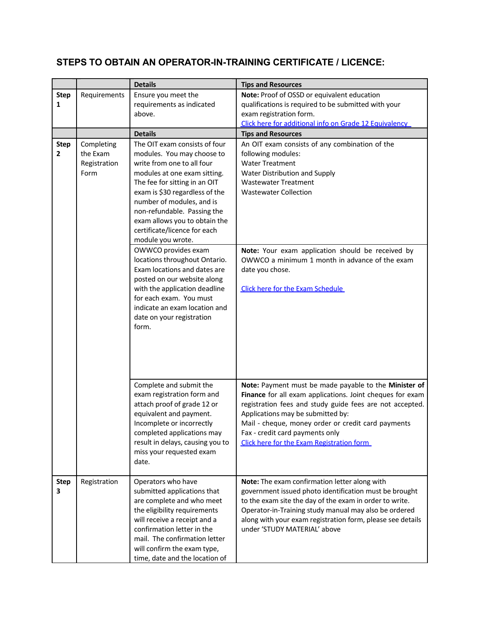# **STEPS TO OBTAIN AN OPERATOR-IN-TRAINING CERTIFICATE / LICENCE:**

|                  |                                                | <b>Details</b>                                                                                                                                                                                                                                                                                                                                                                                                                                                                                                                                                                                           | <b>Tips and Resources</b>                                                                                                                                                                                                                                                                                                                                    |
|------------------|------------------------------------------------|----------------------------------------------------------------------------------------------------------------------------------------------------------------------------------------------------------------------------------------------------------------------------------------------------------------------------------------------------------------------------------------------------------------------------------------------------------------------------------------------------------------------------------------------------------------------------------------------------------|--------------------------------------------------------------------------------------------------------------------------------------------------------------------------------------------------------------------------------------------------------------------------------------------------------------------------------------------------------------|
| <b>Step</b>      | Requirements                                   | Ensure you meet the                                                                                                                                                                                                                                                                                                                                                                                                                                                                                                                                                                                      | Note: Proof of OSSD or equivalent education                                                                                                                                                                                                                                                                                                                  |
| 1                |                                                | requirements as indicated                                                                                                                                                                                                                                                                                                                                                                                                                                                                                                                                                                                | qualifications is required to be submitted with your                                                                                                                                                                                                                                                                                                         |
|                  |                                                | above.                                                                                                                                                                                                                                                                                                                                                                                                                                                                                                                                                                                                   | exam registration form.                                                                                                                                                                                                                                                                                                                                      |
|                  |                                                |                                                                                                                                                                                                                                                                                                                                                                                                                                                                                                                                                                                                          | Click here for additional info on Grade 12 Equivalency                                                                                                                                                                                                                                                                                                       |
|                  |                                                | <b>Details</b>                                                                                                                                                                                                                                                                                                                                                                                                                                                                                                                                                                                           | <b>Tips and Resources</b>                                                                                                                                                                                                                                                                                                                                    |
| <b>Step</b><br>2 | Completing<br>the Exam<br>Registration<br>Form | The OIT exam consists of four<br>modules. You may choose to<br>write from one to all four<br>modules at one exam sitting.<br>The fee for sitting in an OIT<br>exam is \$30 regardless of the<br>number of modules, and is<br>non-refundable. Passing the<br>exam allows you to obtain the<br>certificate/licence for each<br>module you wrote.<br>OWWCO provides exam<br>locations throughout Ontario.<br>Exam locations and dates are<br>posted on our website along<br>with the application deadline<br>for each exam. You must<br>indicate an exam location and<br>date on your registration<br>form. | An OIT exam consists of any combination of the<br>following modules:<br><b>Water Treatment</b><br>Water Distribution and Supply<br><b>Wastewater Treatment</b><br><b>Wastewater Collection</b><br>Note: Your exam application should be received by<br>OWWCO a minimum 1 month in advance of the exam<br>date you chose.<br>Click here for the Exam Schedule |
|                  |                                                | Complete and submit the<br>exam registration form and<br>attach proof of grade 12 or<br>equivalent and payment.<br>Incomplete or incorrectly<br>completed applications may<br>result in delays, causing you to<br>miss your requested exam<br>date.                                                                                                                                                                                                                                                                                                                                                      | Note: Payment must be made payable to the Minister of<br>Finance for all exam applications. Joint cheques for exam<br>registration fees and study guide fees are not accepted.<br>Applications may be submitted by:<br>Mail - cheque, money order or credit card payments<br>Fax - credit card payments only<br>Click here for the Exam Registration form    |
| <b>Step</b><br>3 | Registration                                   | Operators who have<br>submitted applications that<br>are complete and who meet<br>the eligibility requirements<br>will receive a receipt and a<br>confirmation letter in the<br>mail. The confirmation letter<br>will confirm the exam type,<br>time, date and the location of                                                                                                                                                                                                                                                                                                                           | Note: The exam confirmation letter along with<br>government issued photo identification must be brought<br>to the exam site the day of the exam in order to write.<br>Operator-in-Training study manual may also be ordered<br>along with your exam registration form, please see details<br>under 'STUDY MATERIAL' above                                    |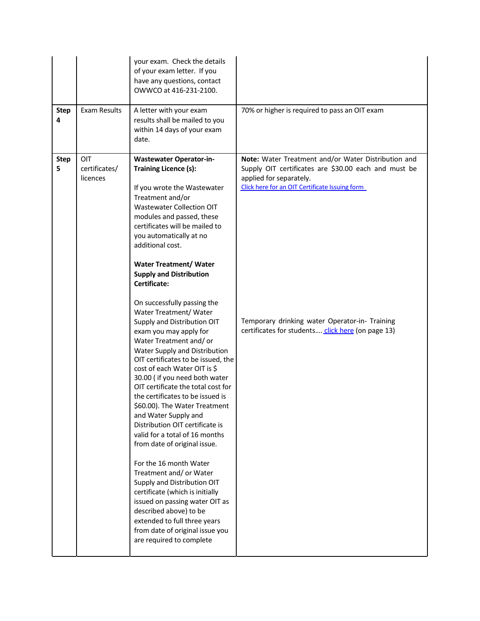|                  |                                  | your exam. Check the details<br>of your exam letter. If you<br>have any questions, contact<br>OWWCO at 416-231-2100.                                                                                                                                                                                                                                                                                                                                                                                                                                                                                                                                                                                                                                                                                                                                                                                                                                                                                                                                                                                                                                                 |                                                                                                                                                                                                                                                                                                 |
|------------------|----------------------------------|----------------------------------------------------------------------------------------------------------------------------------------------------------------------------------------------------------------------------------------------------------------------------------------------------------------------------------------------------------------------------------------------------------------------------------------------------------------------------------------------------------------------------------------------------------------------------------------------------------------------------------------------------------------------------------------------------------------------------------------------------------------------------------------------------------------------------------------------------------------------------------------------------------------------------------------------------------------------------------------------------------------------------------------------------------------------------------------------------------------------------------------------------------------------|-------------------------------------------------------------------------------------------------------------------------------------------------------------------------------------------------------------------------------------------------------------------------------------------------|
| <b>Step</b><br>4 | Exam Results                     | A letter with your exam<br>results shall be mailed to you<br>within 14 days of your exam<br>date.                                                                                                                                                                                                                                                                                                                                                                                                                                                                                                                                                                                                                                                                                                                                                                                                                                                                                                                                                                                                                                                                    | 70% or higher is required to pass an OIT exam                                                                                                                                                                                                                                                   |
| <b>Step</b><br>5 | OIT<br>certificates/<br>licences | <b>Wastewater Operator-in-</b><br><b>Training Licence (s):</b><br>If you wrote the Wastewater<br>Treatment and/or<br><b>Wastewater Collection OIT</b><br>modules and passed, these<br>certificates will be mailed to<br>you automatically at no<br>additional cost.<br><b>Water Treatment/ Water</b><br><b>Supply and Distribution</b><br>Certificate:<br>On successfully passing the<br>Water Treatment/ Water<br>Supply and Distribution OIT<br>exam you may apply for<br>Water Treatment and/or<br>Water Supply and Distribution<br>OIT certificates to be issued, the<br>cost of each Water OIT is \$<br>30.00 (if you need both water<br>OIT certificate the total cost for<br>the certificates to be issued is<br>\$60.00). The Water Treatment<br>and Water Supply and<br>Distribution OIT certificate is<br>valid for a total of 16 months<br>from date of original issue.<br>For the 16 month Water<br>Treatment and/ or Water<br>Supply and Distribution OIT<br>certificate (which is initially<br>issued on passing water OIT as<br>described above) to be<br>extended to full three years<br>from date of original issue you<br>are required to complete | Note: Water Treatment and/or Water Distribution and<br>Supply OIT certificates are \$30.00 each and must be<br>applied for separately.<br>Click here for an OIT Certificate Issuing form<br>Temporary drinking water Operator-in- Training<br>certificates for students click here (on page 13) |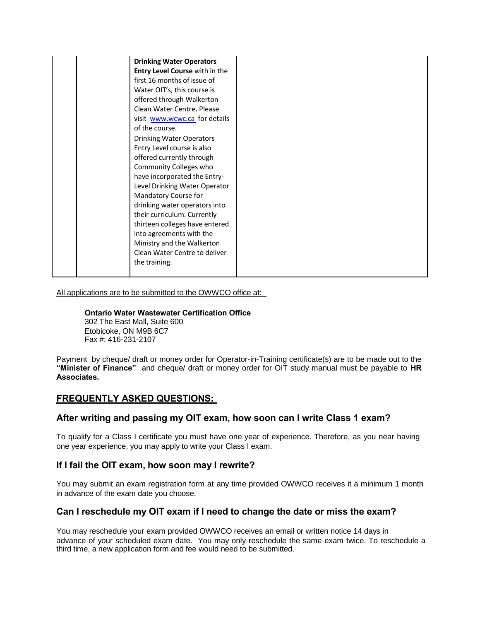|  | <b>Drinking Water Operators</b><br>Entry Level Course with in the<br>first 16 months of issue of<br>Water OIT's, this course is<br>offered through Walkerton<br>Clean Water Centre, Please<br>visit www.wcwc.ca for details<br>of the course.<br><b>Drinking Water Operators</b><br>Entry Level course is also<br>offered currently through<br>Community Colleges who<br>have incorporated the Entry-<br>Level Drinking Water Operator<br>Mandatory Course for<br>drinking water operators into<br>their curriculum. Currently<br>thirteen colleges have entered<br>into agreements with the |
|--|----------------------------------------------------------------------------------------------------------------------------------------------------------------------------------------------------------------------------------------------------------------------------------------------------------------------------------------------------------------------------------------------------------------------------------------------------------------------------------------------------------------------------------------------------------------------------------------------|
|  |                                                                                                                                                                                                                                                                                                                                                                                                                                                                                                                                                                                              |
|  | Ministry and the Walkerton<br>Clean Water Centre to deliver<br>the training.                                                                                                                                                                                                                                                                                                                                                                                                                                                                                                                 |

All applications are to be submitted to the OWWCO office at:

#### **Ontario Water Wastewater Certification Office**

302 The East Mall, Suite 600 Etobicoke, ON M9B 6C7 Fax #: 416-231-2107

Payment by cheque/ draft or money order for Operator-in-Training certificate(s) are to be made out to the **"Minister of Finance"** and cheque/ draft or money order for OIT study manual must be payable to **HR Associates.** 

## **FREQUENTLY ASKED QUESTIONS:**

#### **After writing and passing my OIT exam, how soon can I write Class 1 exam?**

To qualify for a Class I certificate you must have one year of experience. Therefore, as you near having one year experience, you may apply to write your Class I exam.

## **If I fail the OIT exam, how soon may I rewrite?**

You may submit an exam registration form at any time provided OWWCO receives it a minimum 1 month in advance of the exam date you choose.

#### **Can I reschedule my OIT exam if I need to change the date or miss the exam?**

You may reschedule your exam provided OWWCO receives an email or written notice 14 days in advance of your scheduled exam date. You may only reschedule the same exam twice. To reschedule a third time, a new application form and fee would need to be submitted.